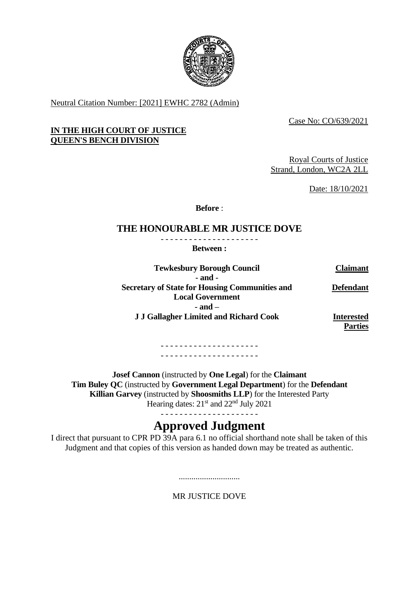

Neutral Citation Number: [2021] EWHC 2782 (Admin)

Case No: CO/639/2021

## **IN THE HIGH COURT OF JUSTICE QUEEN'S BENCH DIVISION**

Royal Courts of Justice Strand, London, WC2A 2LL

Date: 18/10/2021

**Before** :

## **THE HONOURABLE MR JUSTICE DOVE**

- - - - - - - - - - - - - - - - - - - - - **Between :**

| <b>Tewkesbury Borough Council</b>                     | <b>Claimant</b>   |
|-------------------------------------------------------|-------------------|
| - and -                                               |                   |
| <b>Secretary of State for Housing Communities and</b> | <b>Defendant</b>  |
| <b>Local Government</b>                               |                   |
| $-$ and $-$                                           |                   |
| <b>J J Gallagher Limited and Richard Cook</b>         | <b>Interested</b> |
|                                                       | <b>Parties</b>    |

- - - - - - - - - - - - - - - - - - - - - - - - - - - - - - - - - - - - - - - - - -

**Josef Cannon** (instructed by **One Legal**) for the **Claimant Tim Buley QC** (instructed by **Government Legal Department**) for the **Defendant Killian Garvey** (instructed by **Shoosmiths LLP**) for the Interested Party Hearing dates:  $21<sup>st</sup>$  and  $22<sup>nd</sup>$  July 2021

- - - - - - - - - - - - - - - - - - - - -

# **Approved Judgment**

I direct that pursuant to CPR PD 39A para 6.1 no official shorthand note shall be taken of this Judgment and that copies of this version as handed down may be treated as authentic.

> ............................. MR JUSTICE DOVE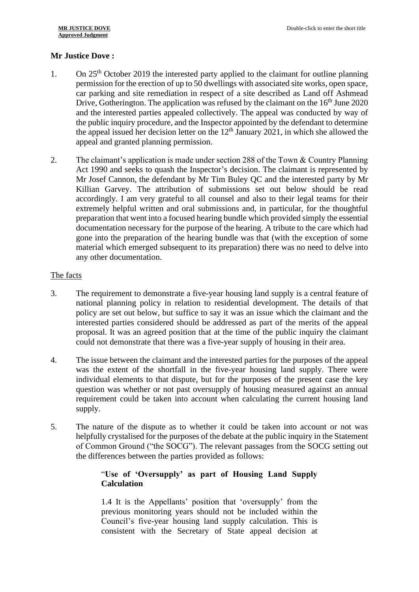## **Mr Justice Dove :**

- 1. On  $25<sup>th</sup>$  October 2019 the interested party applied to the claimant for outline planning permission for the erection of up to 50 dwellings with associated site works, open space, car parking and site remediation in respect of a site described as Land off Ashmead Drive, Gotherington. The application was refused by the claimant on the  $16<sup>th</sup>$  June 2020 and the interested parties appealed collectively. The appeal was conducted by way of the public inquiry procedure, and the Inspector appointed by the defendant to determine the appeal issued her decision letter on the  $12<sup>th</sup>$  January 2021, in which she allowed the appeal and granted planning permission.
- 2. The claimant's application is made under section 288 of the Town & Country Planning Act 1990 and seeks to quash the Inspector's decision. The claimant is represented by Mr Josef Cannon, the defendant by Mr Tim Buley QC and the interested party by Mr Killian Garvey. The attribution of submissions set out below should be read accordingly. I am very grateful to all counsel and also to their legal teams for their extremely helpful written and oral submissions and, in particular, for the thoughtful preparation that went into a focused hearing bundle which provided simply the essential documentation necessary for the purpose of the hearing. A tribute to the care which had gone into the preparation of the hearing bundle was that (with the exception of some material which emerged subsequent to its preparation) there was no need to delve into any other documentation.

## The facts

- 3. The requirement to demonstrate a five-year housing land supply is a central feature of national planning policy in relation to residential development. The details of that policy are set out below, but suffice to say it was an issue which the claimant and the interested parties considered should be addressed as part of the merits of the appeal proposal. It was an agreed position that at the time of the public inquiry the claimant could not demonstrate that there was a five-year supply of housing in their area.
- 4. The issue between the claimant and the interested parties for the purposes of the appeal was the extent of the shortfall in the five-year housing land supply. There were individual elements to that dispute, but for the purposes of the present case the key question was whether or not past oversupply of housing measured against an annual requirement could be taken into account when calculating the current housing land supply.
- 5. The nature of the dispute as to whether it could be taken into account or not was helpfully crystalised for the purposes of the debate at the public inquiry in the Statement of Common Ground ("the SOCG"). The relevant passages from the SOCG setting out the differences between the parties provided as follows:

## "**Use of 'Oversupply' as part of Housing Land Supply Calculation**

1.4 It is the Appellants' position that 'oversupply' from the previous monitoring years should not be included within the Council's five-year housing land supply calculation. This is consistent with the Secretary of State appeal decision at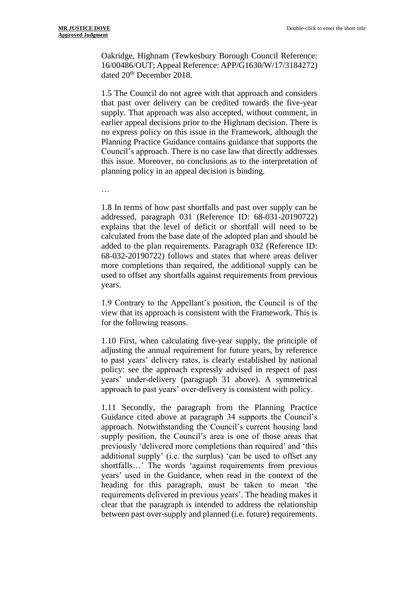Oakridge, Highnam (Tewkesbury Borough Council Reference: 16/00486/OUT; Appeal Reference: APP/G1630/W/17/3184272) dated 20th December 2018.

1.5 The Council do not agree with that approach and considers that past over delivery can be credited towards the five-year supply. That approach was also accepted, without comment, in earlier appeal decisions prior to the Highnam decision. There is no express policy on this issue in the Framework, although the Planning Practice Guidance contains guidance that supports the Council's approach. There is no case law that directly addresses this issue. Moreover, no conclusions as to the interpretation of planning policy in an appeal decision is binding.

…

1.8 In terms of how past shortfalls and past over supply can be addressed, paragraph 031 (Reference ID: 68-031-20190722) explains that the level of deficit or shortfall will need to be calculated from the base date of the adopted plan and should be added to the plan requirements. Paragraph 032 (Reference ID: 68-032-20190722) follows and states that where areas deliver more completions than required, the additional supply can be used to offset any shortfalls against requirements from previous years.

1.9 Contrary to the Appellant's position, the Council is of the view that its approach is consistent with the Framework. This is for the following reasons.

1.10 First, when calculating five-year supply, the principle of adjusting the annual requirement for future years, by reference to past years' delivery rates, is clearly established by national policy: see the approach expressly advised in respect of past years' under-delivery (paragraph 31 above). A symmetrical approach to past years' over-delivery is consistent with policy.

1.11 Secondly, the paragraph from the Planning Practice Guidance cited above at paragraph 34 supports the Council's approach. Notwithstanding the Council's current housing land supply position, the Council's area is one of those areas that previously 'delivered more completions than required' and 'this additional supply' (i.e. the surplus) 'can be used to offset any shortfalls…' The words 'against requirements from previous years' used in the Guidance, when read in the context of the heading for this paragraph, must be taken to mean 'the requirements delivered in previous years'. The heading makes it clear that the paragraph is intended to address the relationship between past over-supply and planned (i.e. future) requirements.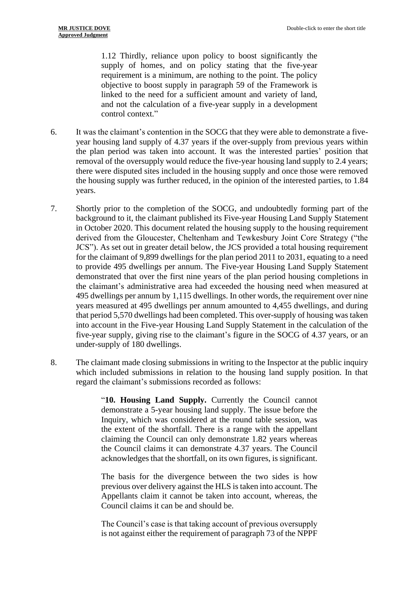1.12 Thirdly, reliance upon policy to boost significantly the supply of homes, and on policy stating that the five-year requirement is a minimum, are nothing to the point. The policy objective to boost supply in paragraph 59 of the Framework is linked to the need for a sufficient amount and variety of land, and not the calculation of a five-year supply in a development control context."

- 6. It was the claimant's contention in the SOCG that they were able to demonstrate a fiveyear housing land supply of 4.37 years if the over-supply from previous years within the plan period was taken into account. It was the interested parties' position that removal of the oversupply would reduce the five-year housing land supply to 2.4 years; there were disputed sites included in the housing supply and once those were removed the housing supply was further reduced, in the opinion of the interested parties, to 1.84 years.
- 7. Shortly prior to the completion of the SOCG, and undoubtedly forming part of the background to it, the claimant published its Five-year Housing Land Supply Statement in October 2020. This document related the housing supply to the housing requirement derived from the Gloucester, Cheltenham and Tewkesbury Joint Core Strategy ("the JCS"). As set out in greater detail below, the JCS provided a total housing requirement for the claimant of 9,899 dwellings for the plan period 2011 to 2031, equating to a need to provide 495 dwellings per annum. The Five-year Housing Land Supply Statement demonstrated that over the first nine years of the plan period housing completions in the claimant's administrative area had exceeded the housing need when measured at 495 dwellings per annum by 1,115 dwellings. In other words, the requirement over nine years measured at 495 dwellings per annum amounted to 4,455 dwellings, and during that period 5,570 dwellings had been completed. This over-supply of housing was taken into account in the Five-year Housing Land Supply Statement in the calculation of the five-year supply, giving rise to the claimant's figure in the SOCG of 4.37 years, or an under-supply of 180 dwellings.
- 8. The claimant made closing submissions in writing to the Inspector at the public inquiry which included submissions in relation to the housing land supply position. In that regard the claimant's submissions recorded as follows:

"**10. Housing Land Supply.** Currently the Council cannot demonstrate a 5-year housing land supply. The issue before the Inquiry, which was considered at the round table session, was the extent of the shortfall. There is a range with the appellant claiming the Council can only demonstrate 1.82 years whereas the Council claims it can demonstrate 4.37 years. The Council acknowledges that the shortfall, on its own figures, is significant.

The basis for the divergence between the two sides is how previous over delivery against the HLS is taken into account. The Appellants claim it cannot be taken into account, whereas, the Council claims it can be and should be.

The Council's case is that taking account of previous oversupply is not against either the requirement of paragraph 73 of the NPPF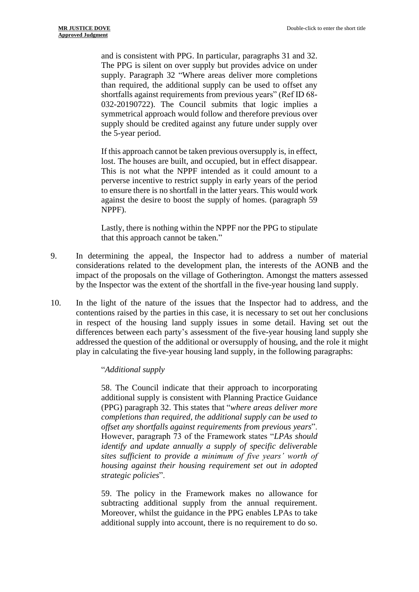and is consistent with PPG. In particular, paragraphs 31 and 32. The PPG is silent on over supply but provides advice on under supply. Paragraph 32 "Where areas deliver more completions than required, the additional supply can be used to offset any shortfalls against requirements from previous years" (Ref ID 68- 032-20190722). The Council submits that logic implies a symmetrical approach would follow and therefore previous over supply should be credited against any future under supply over the 5-year period.

If this approach cannot be taken previous oversupply is, in effect, lost. The houses are built, and occupied, but in effect disappear. This is not what the NPPF intended as it could amount to a perverse incentive to restrict supply in early years of the period to ensure there is no shortfall in the latter years. This would work against the desire to boost the supply of homes. (paragraph 59 NPPF).

Lastly, there is nothing within the NPPF nor the PPG to stipulate that this approach cannot be taken."

- 9. In determining the appeal, the Inspector had to address a number of material considerations related to the development plan, the interests of the AONB and the impact of the proposals on the village of Gotherington. Amongst the matters assessed by the Inspector was the extent of the shortfall in the five-year housing land supply.
- 10. In the light of the nature of the issues that the Inspector had to address, and the contentions raised by the parties in this case, it is necessary to set out her conclusions in respect of the housing land supply issues in some detail. Having set out the differences between each party's assessment of the five-year housing land supply she addressed the question of the additional or oversupply of housing, and the role it might play in calculating the five-year housing land supply, in the following paragraphs:

#### "*Additional supply*

58. The Council indicate that their approach to incorporating additional supply is consistent with Planning Practice Guidance (PPG) paragraph 32. This states that "*where areas deliver more completions than required, the additional supply can be used to offset any shortfalls against requirements from previous years*". However, paragraph 73 of the Framework states "*LPAs should identify and update annually a supply of specific deliverable sites sufficient to provide a minimum of five years' worth of housing against their housing requirement set out in adopted strategic policies*".

59. The policy in the Framework makes no allowance for subtracting additional supply from the annual requirement. Moreover, whilst the guidance in the PPG enables LPAs to take additional supply into account, there is no requirement to do so.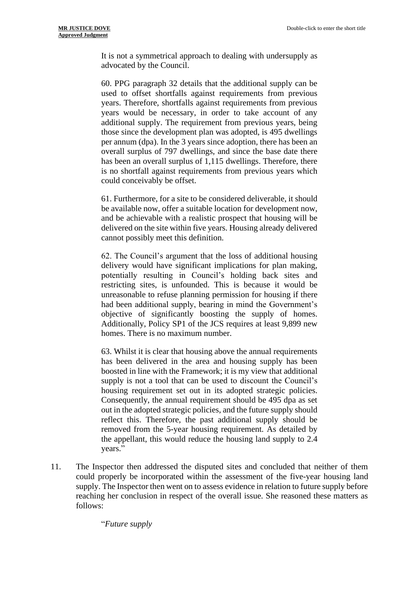It is not a symmetrical approach to dealing with undersupply as advocated by the Council.

60. PPG paragraph 32 details that the additional supply can be used to offset shortfalls against requirements from previous years. Therefore, shortfalls against requirements from previous years would be necessary, in order to take account of any additional supply. The requirement from previous years, being those since the development plan was adopted, is 495 dwellings per annum (dpa). In the 3 years since adoption, there has been an overall surplus of 797 dwellings, and since the base date there has been an overall surplus of 1,115 dwellings. Therefore, there is no shortfall against requirements from previous years which could conceivably be offset.

61. Furthermore, for a site to be considered deliverable, it should be available now, offer a suitable location for development now, and be achievable with a realistic prospect that housing will be delivered on the site within five years. Housing already delivered cannot possibly meet this definition.

62. The Council's argument that the loss of additional housing delivery would have significant implications for plan making, potentially resulting in Council's holding back sites and restricting sites, is unfounded. This is because it would be unreasonable to refuse planning permission for housing if there had been additional supply, bearing in mind the Government's objective of significantly boosting the supply of homes. Additionally, Policy SP1 of the JCS requires at least 9,899 new homes. There is no maximum number.

63. Whilst it is clear that housing above the annual requirements has been delivered in the area and housing supply has been boosted in line with the Framework; it is my view that additional supply is not a tool that can be used to discount the Council's housing requirement set out in its adopted strategic policies. Consequently, the annual requirement should be 495 dpa as set out in the adopted strategic policies, and the future supply should reflect this. Therefore, the past additional supply should be removed from the 5-year housing requirement. As detailed by the appellant, this would reduce the housing land supply to 2.4 years."

11. The Inspector then addressed the disputed sites and concluded that neither of them could properly be incorporated within the assessment of the five-year housing land supply. The Inspector then went on to assess evidence in relation to future supply before reaching her conclusion in respect of the overall issue. She reasoned these matters as follows:

"*Future supply*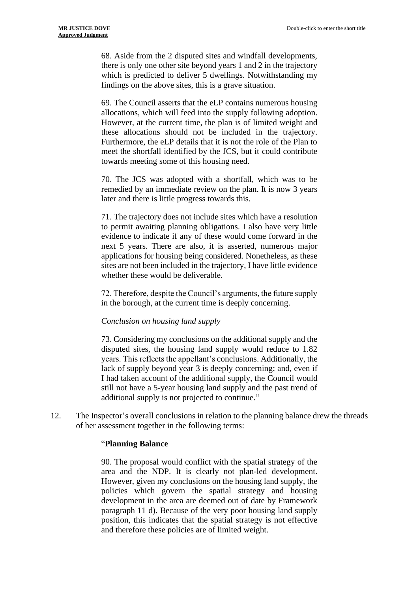68. Aside from the 2 disputed sites and windfall developments, there is only one other site beyond years 1 and 2 in the trajectory which is predicted to deliver 5 dwellings. Notwithstanding my findings on the above sites, this is a grave situation.

69. The Council asserts that the eLP contains numerous housing allocations, which will feed into the supply following adoption. However, at the current time, the plan is of limited weight and these allocations should not be included in the trajectory. Furthermore, the eLP details that it is not the role of the Plan to meet the shortfall identified by the JCS, but it could contribute towards meeting some of this housing need.

70. The JCS was adopted with a shortfall, which was to be remedied by an immediate review on the plan. It is now 3 years later and there is little progress towards this.

71. The trajectory does not include sites which have a resolution to permit awaiting planning obligations. I also have very little evidence to indicate if any of these would come forward in the next 5 years. There are also, it is asserted, numerous major applications for housing being considered. Nonetheless, as these sites are not been included in the trajectory, I have little evidence whether these would be deliverable.

72. Therefore, despite the Council's arguments, the future supply in the borough, at the current time is deeply concerning.

#### *Conclusion on housing land supply*

73. Considering my conclusions on the additional supply and the disputed sites, the housing land supply would reduce to 1.82 years. This reflects the appellant's conclusions. Additionally, the lack of supply beyond year 3 is deeply concerning; and, even if I had taken account of the additional supply, the Council would still not have a 5-year housing land supply and the past trend of additional supply is not projected to continue."

12. The Inspector's overall conclusions in relation to the planning balance drew the threads of her assessment together in the following terms:

#### "**Planning Balance**

90. The proposal would conflict with the spatial strategy of the area and the NDP. It is clearly not plan-led development. However, given my conclusions on the housing land supply, the policies which govern the spatial strategy and housing development in the area are deemed out of date by Framework paragraph 11 d). Because of the very poor housing land supply position, this indicates that the spatial strategy is not effective and therefore these policies are of limited weight.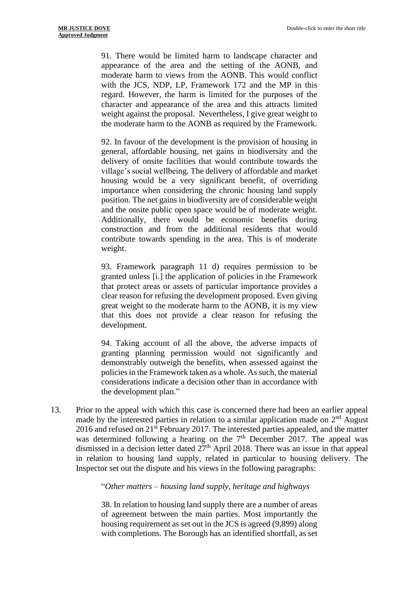91. There would be limited harm to landscape character and appearance of the area and the setting of the AONB, and moderate harm to views from the AONB. This would conflict with the JCS, NDP, LP, Framework 172 and the MP in this regard. However, the harm is limited for the purposes of the character and appearance of the area and this attracts limited weight against the proposal. Nevertheless, I give great weight to the moderate harm to the AONB as required by the Framework.

92. In favour of the development is the provision of housing in general, affordable housing, net gains in biodiversity and the delivery of onsite facilities that would contribute towards the village's social wellbeing. The delivery of affordable and market housing would be a very significant benefit, of overriding importance when considering the chronic housing land supply position. The net gains in biodiversity are of considerable weight and the onsite public open space would be of moderate weight. Additionally, there would be economic benefits during construction and from the additional residents that would contribute towards spending in the area. This is of moderate weight.

93. Framework paragraph 11 d) requires permission to be granted unless [i.] the application of policies in the Framework that protect areas or assets of particular importance provides a clear reason for refusing the development proposed. Even giving great weight to the moderate harm to the AONB, it is my view that this does not provide a clear reason for refusing the development.

94. Taking account of all the above, the adverse impacts of granting planning permission would not significantly and demonstrably outweigh the benefits, when assessed against the policies in the Framework taken as a whole. As such, the material considerations indicate a decision other than in accordance with the development plan."

13. Prior to the appeal with which this case is concerned there had been an earlier appeal made by the interested parties in relation to a similar application made on  $2<sup>nd</sup>$  August 2016 and refused on 21<sup>st</sup> February 2017. The interested parties appealed, and the matter was determined following a hearing on the  $7<sup>th</sup>$  December 2017. The appeal was dismissed in a decision letter dated  $27<sup>th</sup>$  April 2018. There was an issue in that appeal in relation to housing land supply, related in particular to housing delivery. The Inspector set out the dispute and his views in the following paragraphs:

"*Other matters – housing land supply, heritage and highways*

38. In relation to housing land supply there are a number of areas of agreement between the main parties. Most importantly the housing requirement as set out in the JCS is agreed (9,899) along with completions. The Borough has an identified shortfall, as set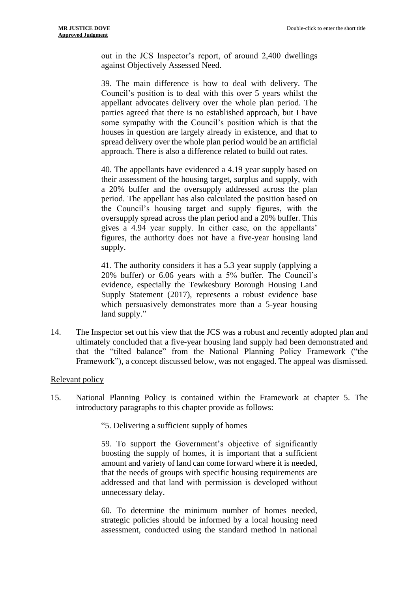out in the JCS Inspector's report, of around 2,400 dwellings against Objectively Assessed Need.

39. The main difference is how to deal with delivery. The Council's position is to deal with this over 5 years whilst the appellant advocates delivery over the whole plan period. The parties agreed that there is no established approach, but I have some sympathy with the Council's position which is that the houses in question are largely already in existence, and that to spread delivery over the whole plan period would be an artificial approach. There is also a difference related to build out rates.

40. The appellants have evidenced a 4.19 year supply based on their assessment of the housing target, surplus and supply, with a 20% buffer and the oversupply addressed across the plan period. The appellant has also calculated the position based on the Council's housing target and supply figures, with the oversupply spread across the plan period and a 20% buffer. This gives a 4.94 year supply. In either case, on the appellants' figures, the authority does not have a five-year housing land supply.

41. The authority considers it has a 5.3 year supply (applying a 20% buffer) or 6.06 years with a 5% buffer. The Council's evidence, especially the Tewkesbury Borough Housing Land Supply Statement (2017), represents a robust evidence base which persuasively demonstrates more than a 5-year housing land supply."

14. The Inspector set out his view that the JCS was a robust and recently adopted plan and ultimately concluded that a five-year housing land supply had been demonstrated and that the "tilted balance" from the National Planning Policy Framework ("the Framework"), a concept discussed below, was not engaged. The appeal was dismissed.

## Relevant policy

15. National Planning Policy is contained within the Framework at chapter 5. The introductory paragraphs to this chapter provide as follows:

"5. Delivering a sufficient supply of homes

59. To support the Government's objective of significantly boosting the supply of homes, it is important that a sufficient amount and variety of land can come forward where it is needed, that the needs of groups with specific housing requirements are addressed and that land with permission is developed without unnecessary delay.

60. To determine the minimum number of homes needed, strategic policies should be informed by a local housing need assessment, conducted using the standard method in national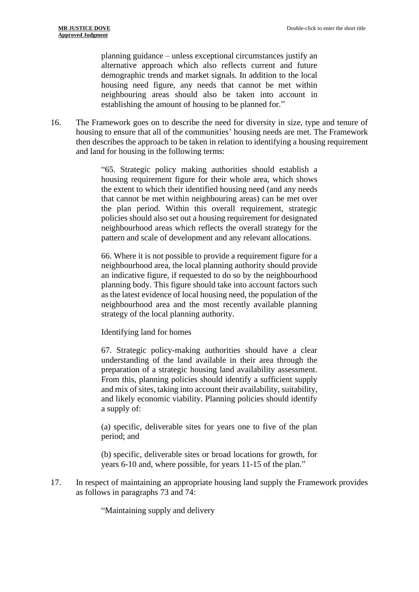planning guidance – unless exceptional circumstances justify an alternative approach which also reflects current and future demographic trends and market signals. In addition to the local housing need figure, any needs that cannot be met within neighbouring areas should also be taken into account in establishing the amount of housing to be planned for."

16. The Framework goes on to describe the need for diversity in size, type and tenure of housing to ensure that all of the communities' housing needs are met. The Framework then describes the approach to be taken in relation to identifying a housing requirement and land for housing in the following terms:

> "65. Strategic policy making authorities should establish a housing requirement figure for their whole area, which shows the extent to which their identified housing need (and any needs that cannot be met within neighbouring areas) can be met over the plan period. Within this overall requirement, strategic policies should also set out a housing requirement for designated neighbourhood areas which reflects the overall strategy for the pattern and scale of development and any relevant allocations.

> 66. Where it is not possible to provide a requirement figure for a neighbourhood area, the local planning authority should provide an indicative figure, if requested to do so by the neighbourhood planning body. This figure should take into account factors such as the latest evidence of local housing need, the population of the neighbourhood area and the most recently available planning strategy of the local planning authority.

Identifying land for homes

67. Strategic policy-making authorities should have a clear understanding of the land available in their area through the preparation of a strategic housing land availability assessment. From this, planning policies should identify a sufficient supply and mix of sites, taking into account their availability, suitability, and likely economic viability. Planning policies should identify a supply of:

(a) specific, deliverable sites for years one to five of the plan period; and

(b) specific, deliverable sites or broad locations for growth, for years 6-10 and, where possible, for years 11-15 of the plan."

17. In respect of maintaining an appropriate housing land supply the Framework provides as follows in paragraphs 73 and 74:

"Maintaining supply and delivery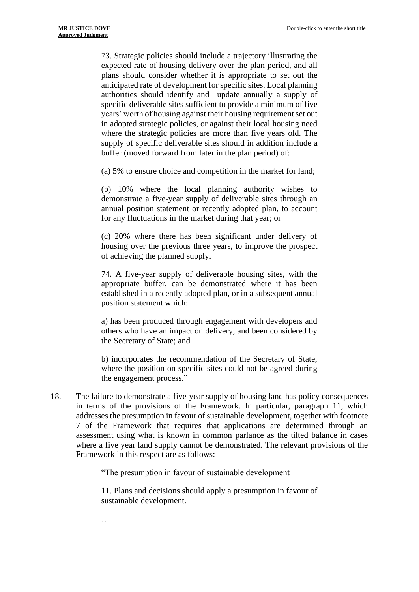73. Strategic policies should include a trajectory illustrating the expected rate of housing delivery over the plan period, and all plans should consider whether it is appropriate to set out the anticipated rate of development for specific sites. Local planning authorities should identify and update annually a supply of specific deliverable sites sufficient to provide a minimum of five years' worth of housing against their housing requirement set out in adopted strategic policies, or against their local housing need where the strategic policies are more than five years old. The supply of specific deliverable sites should in addition include a buffer (moved forward from later in the plan period) of:

(a) 5% to ensure choice and competition in the market for land;

(b) 10% where the local planning authority wishes to demonstrate a five-year supply of deliverable sites through an annual position statement or recently adopted plan, to account for any fluctuations in the market during that year; or

(c) 20% where there has been significant under delivery of housing over the previous three years, to improve the prospect of achieving the planned supply.

74. A five-year supply of deliverable housing sites, with the appropriate buffer, can be demonstrated where it has been established in a recently adopted plan, or in a subsequent annual position statement which:

a) has been produced through engagement with developers and others who have an impact on delivery, and been considered by the Secretary of State; and

b) incorporates the recommendation of the Secretary of State, where the position on specific sites could not be agreed during the engagement process."

18. The failure to demonstrate a five-year supply of housing land has policy consequences in terms of the provisions of the Framework. In particular, paragraph 11, which addresses the presumption in favour of sustainable development, together with footnote 7 of the Framework that requires that applications are determined through an assessment using what is known in common parlance as the tilted balance in cases where a five year land supply cannot be demonstrated. The relevant provisions of the Framework in this respect are as follows:

"The presumption in favour of sustainable development

11. Plans and decisions should apply a presumption in favour of sustainable development.

…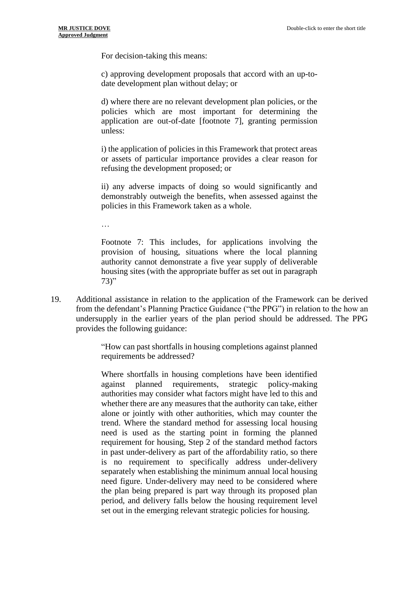For decision-taking this means:

c) approving development proposals that accord with an up-todate development plan without delay; or

d) where there are no relevant development plan policies, or the policies which are most important for determining the application are out-of-date [footnote 7], granting permission unless:

i) the application of policies in this Framework that protect areas or assets of particular importance provides a clear reason for refusing the development proposed; or

ii) any adverse impacts of doing so would significantly and demonstrably outweigh the benefits, when assessed against the policies in this Framework taken as a whole.

…

Footnote 7: This includes, for applications involving the provision of housing, situations where the local planning authority cannot demonstrate a five year supply of deliverable housing sites (with the appropriate buffer as set out in paragraph 73)"

19. Additional assistance in relation to the application of the Framework can be derived from the defendant's Planning Practice Guidance ("the PPG") in relation to the how an undersupply in the earlier years of the plan period should be addressed. The PPG provides the following guidance:

> "How can past shortfalls in housing completions against planned requirements be addressed?

> Where shortfalls in housing completions have been identified against planned requirements, strategic policy-making authorities may consider what factors might have led to this and whether there are any measures that the authority can take, either alone or jointly with other authorities, which may counter the trend. Where the standard method for assessing local housing need is used as the starting point in forming the planned requirement for housing, Step 2 of the standard method factors in past under-delivery as part of the affordability ratio, so there is no requirement to specifically address under-delivery separately when establishing the minimum annual local housing need figure. Under-delivery may need to be considered where the plan being prepared is part way through its proposed plan period, and delivery falls below the housing requirement level set out in the emerging relevant strategic policies for housing.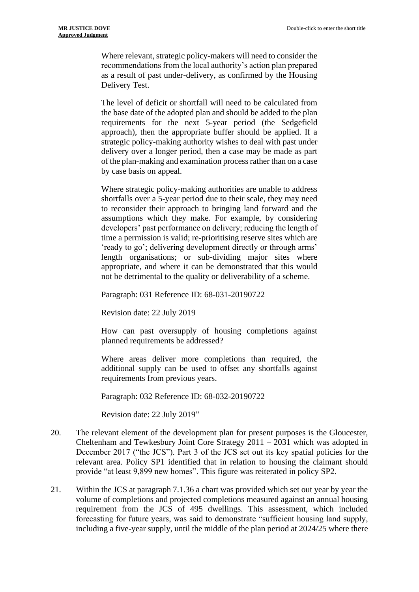Where relevant, strategic policy-makers will need to consider the recommendations from the local authority's action plan prepared as a result of past under-delivery, as confirmed by the Housing Delivery Test.

The level of deficit or shortfall will need to be calculated from the base date of the adopted plan and should be added to the plan requirements for the next 5-year period (the Sedgefield approach), then the appropriate buffer should be applied. If a strategic policy-making authority wishes to deal with past under delivery over a longer period, then a case may be made as part of the plan-making and examination process rather than on a case by case basis on appeal.

Where strategic policy-making authorities are unable to address shortfalls over a 5-year period due to their scale, they may need to reconsider their approach to bringing land forward and the assumptions which they make. For example, by considering developers' past performance on delivery; reducing the length of time a permission is valid; re-prioritising reserve sites which are 'ready to go'; delivering development directly or through arms' length organisations; or sub-dividing major sites where appropriate, and where it can be demonstrated that this would not be detrimental to the quality or deliverability of a scheme.

Paragraph: 031 Reference ID: 68-031-20190722

Revision date: 22 July 2019

How can past oversupply of housing completions against planned requirements be addressed?

Where areas deliver more completions than required, the additional supply can be used to offset any shortfalls against requirements from previous years.

Paragraph: 032 Reference ID: 68-032-20190722

Revision date: 22 July 2019"

- 20. The relevant element of the development plan for present purposes is the Gloucester, Cheltenham and Tewkesbury Joint Core Strategy 2011 – 2031 which was adopted in December 2017 ("the JCS"). Part 3 of the JCS set out its key spatial policies for the relevant area. Policy SP1 identified that in relation to housing the claimant should provide "at least 9,899 new homes". This figure was reiterated in policy SP2.
- 21. Within the JCS at paragraph 7.1.36 a chart was provided which set out year by year the volume of completions and projected completions measured against an annual housing requirement from the JCS of 495 dwellings. This assessment, which included forecasting for future years, was said to demonstrate "sufficient housing land supply, including a five-year supply, until the middle of the plan period at 2024/25 where there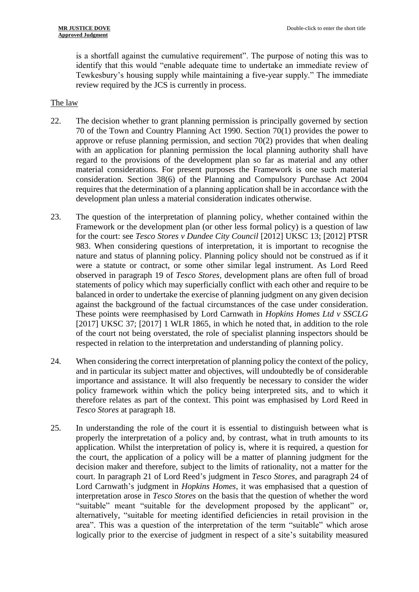is a shortfall against the cumulative requirement". The purpose of noting this was to identify that this would "enable adequate time to undertake an immediate review of Tewkesbury's housing supply while maintaining a five-year supply." The immediate review required by the JCS is currently in process.

#### The law

- 22. The decision whether to grant planning permission is principally governed by section 70 of the Town and Country Planning Act 1990. Section 70(1) provides the power to approve or refuse planning permission, and section 70(2) provides that when dealing with an application for planning permission the local planning authority shall have regard to the provisions of the development plan so far as material and any other material considerations. For present purposes the Framework is one such material consideration. Section 38(6) of the Planning and Compulsory Purchase Act 2004 requires that the determination of a planning application shall be in accordance with the development plan unless a material consideration indicates otherwise.
- 23. The question of the interpretation of planning policy, whether contained within the Framework or the development plan (or other less formal policy) is a question of law for the court: see *Tesco Stores v Dundee City Council* [2012] UKSC 13; [2012] PTSR 983. When considering questions of interpretation, it is important to recognise the nature and status of planning policy. Planning policy should not be construed as if it were a statute or contract, or some other similar legal instrument. As Lord Reed observed in paragraph 19 of *Tesco Stores,* development plans are often full of broad statements of policy which may superficially conflict with each other and require to be balanced in order to undertake the exercise of planning judgment on any given decision against the background of the factual circumstances of the case under consideration. These points were reemphasised by Lord Carnwath in *Hopkins Homes Ltd v SSCLG*  [2017] UKSC 37; [2017] 1 WLR 1865, in which he noted that, in addition to the role of the court not being overstated, the role of specialist planning inspectors should be respected in relation to the interpretation and understanding of planning policy.
- 24. When considering the correct interpretation of planning policy the context of the policy, and in particular its subject matter and objectives, will undoubtedly be of considerable importance and assistance. It will also frequently be necessary to consider the wider policy framework within which the policy being interpreted sits, and to which it therefore relates as part of the context. This point was emphasised by Lord Reed in *Tesco Stores* at paragraph 18.
- 25. In understanding the role of the court it is essential to distinguish between what is properly the interpretation of a policy and, by contrast, what in truth amounts to its application. Whilst the interpretation of policy is, where it is required, a question for the court, the application of a policy will be a matter of planning judgment for the decision maker and therefore, subject to the limits of rationality, not a matter for the court. In paragraph 21 of Lord Reed's judgment in *Tesco Stores*, and paragraph 24 of Lord Carnwath's judgment in *Hopkins Homes*, it was emphasised that a question of interpretation arose in *Tesco Stores* on the basis that the question of whether the word "suitable" meant "suitable for the development proposed by the applicant" or, alternatively, "suitable for meeting identified deficiencies in retail provision in the area". This was a question of the interpretation of the term "suitable" which arose logically prior to the exercise of judgment in respect of a site's suitability measured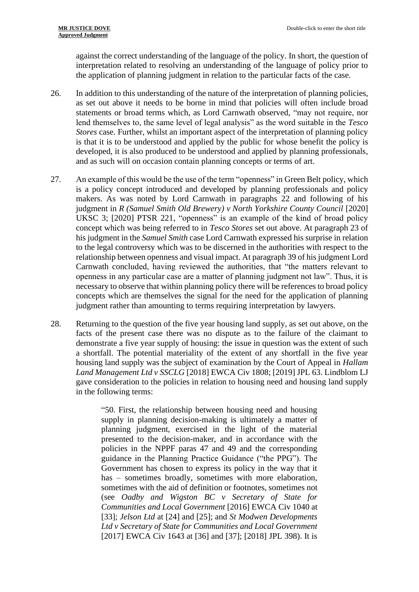against the correct understanding of the language of the policy. In short, the question of interpretation related to resolving an understanding of the language of policy prior to the application of planning judgment in relation to the particular facts of the case.

- 26. In addition to this understanding of the nature of the interpretation of planning policies, as set out above it needs to be borne in mind that policies will often include broad statements or broad terms which, as Lord Carnwath observed, "may not require, nor lend themselves to, the same level of legal analysis" as the word suitable in the *Tesco Stores* case. Further, whilst an important aspect of the interpretation of planning policy is that it is to be understood and applied by the public for whose benefit the policy is developed, it is also produced to be understood and applied by planning professionals, and as such will on occasion contain planning concepts or terms of art.
- 27. An example of this would be the use of the term "openness" in Green Belt policy, which is a policy concept introduced and developed by planning professionals and policy makers. As was noted by Lord Carnwath in paragraphs 22 and following of his judgment in *R* (Samuel Smith Old Brewery) v North Yorkshire County Council [2020] UKSC 3; [2020] PTSR 221, "openness" is an example of the kind of broad policy concept which was being referred to in *Tesco Stores* set out above. At paragraph 23 of his judgment in the *Samuel Smith* case Lord Carnwath expressed his surprise in relation to the legal controversy which was to be discerned in the authorities with respect to the relationship between openness and visual impact. At paragraph 39 of his judgment Lord Carnwath concluded, having reviewed the authorities, that "the matters relevant to openness in any particular case are a matter of planning judgment not law". Thus, it is necessary to observe that within planning policy there will be references to broad policy concepts which are themselves the signal for the need for the application of planning judgment rather than amounting to terms requiring interpretation by lawyers.
- 28. Returning to the question of the five year housing land supply, as set out above, on the facts of the present case there was no dispute as to the failure of the claimant to demonstrate a five year supply of housing: the issue in question was the extent of such a shortfall. The potential materiality of the extent of any shortfall in the five year housing land supply was the subject of examination by the Court of Appeal in *Hallam Land Management Ltd v SSCLG* [2018] EWCA Civ 1808; [2019] JPL 63. Lindblom LJ gave consideration to the policies in relation to housing need and housing land supply in the following terms:

"50. First, the relationship between housing need and housing supply in planning decision-making is ultimately a matter of planning judgment, exercised in the light of the material presented to the decision-maker, and in accordance with the policies in the NPPF paras 47 and 49 and the corresponding guidance in the Planning Practice Guidance ("the PPG"). The Government has chosen to express its policy in the way that it has – sometimes broadly, sometimes with more elaboration, sometimes with the aid of definition or footnotes, sometimes not (see *Oadby and Wigston BC v Secretary of State for Communities and Local Government* [2016] EWCA Civ 1040 at [33]; *Jelson Ltd* at [24] and [25]; and *St Modwen Developments Ltd v Secretary of State for Communities and Local Government* [2017] EWCA Civ 1643 at [36] and [37]; [2018] JPL 398). It is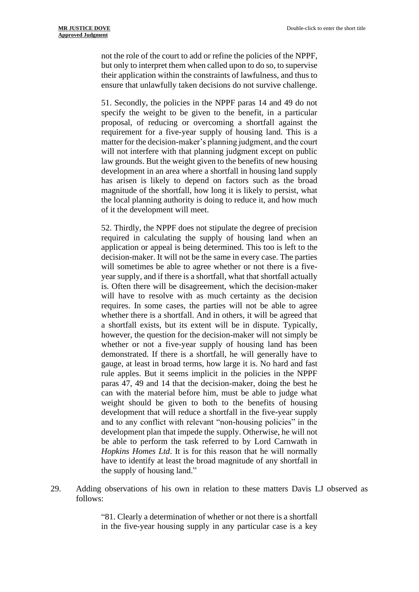not the role of the court to add or refine the policies of the NPPF, but only to interpret them when called upon to do so, to supervise their application within the constraints of lawfulness, and thus to ensure that unlawfully taken decisions do not survive challenge.

51. Secondly, the policies in the NPPF paras 14 and 49 do not specify the weight to be given to the benefit, in a particular proposal, of reducing or overcoming a shortfall against the requirement for a five-year supply of housing land. This is a matter for the decision-maker's planning judgment, and the court will not interfere with that planning judgment except on public law grounds. But the weight given to the benefits of new housing development in an area where a shortfall in housing land supply has arisen is likely to depend on factors such as the broad magnitude of the shortfall, how long it is likely to persist, what the local planning authority is doing to reduce it, and how much of it the development will meet.

52. Thirdly, the NPPF does not stipulate the degree of precision required in calculating the supply of housing land when an application or appeal is being determined. This too is left to the decision-maker. It will not be the same in every case. The parties will sometimes be able to agree whether or not there is a fiveyear supply, and if there is a shortfall, what that shortfall actually is. Often there will be disagreement, which the decision-maker will have to resolve with as much certainty as the decision requires. In some cases, the parties will not be able to agree whether there is a shortfall. And in others, it will be agreed that a shortfall exists, but its extent will be in dispute. Typically, however, the question for the decision-maker will not simply be whether or not a five-year supply of housing land has been demonstrated. If there is a shortfall, he will generally have to gauge, at least in broad terms, how large it is. No hard and fast rule apples. But it seems implicit in the policies in the NPPF paras 47, 49 and 14 that the decision-maker, doing the best he can with the material before him, must be able to judge what weight should be given to both to the benefits of housing development that will reduce a shortfall in the five-year supply and to any conflict with relevant "non-housing policies" in the development plan that impede the supply. Otherwise, he will not be able to perform the task referred to by Lord Carnwath in *Hopkins Homes Ltd*. It is for this reason that he will normally have to identify at least the broad magnitude of any shortfall in the supply of housing land."

29. Adding observations of his own in relation to these matters Davis LJ observed as follows:

> "81. Clearly a determination of whether or not there is a shortfall in the five-year housing supply in any particular case is a key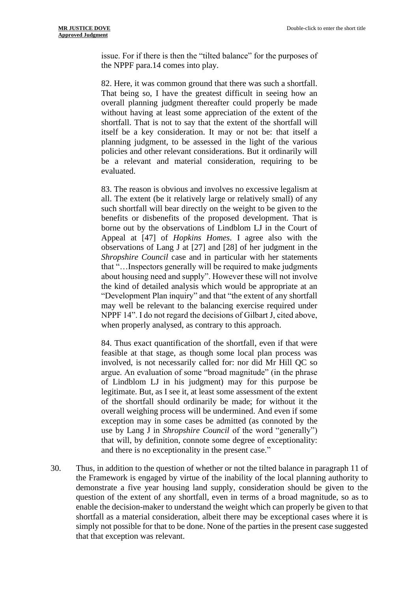issue. For if there is then the "tilted balance" for the purposes of the NPPF para.14 comes into play.

82. Here, it was common ground that there was such a shortfall. That being so, I have the greatest difficult in seeing how an overall planning judgment thereafter could properly be made without having at least some appreciation of the extent of the shortfall. That is not to say that the extent of the shortfall will itself be a key consideration. It may or not be: that itself a planning judgment, to be assessed in the light of the various policies and other relevant considerations. But it ordinarily will be a relevant and material consideration, requiring to be evaluated.

83. The reason is obvious and involves no excessive legalism at all. The extent (be it relatively large or relatively small) of any such shortfall will bear directly on the weight to be given to the benefits or disbenefits of the proposed development. That is borne out by the observations of Lindblom LJ in the Court of Appeal at [47] of *Hopkins Homes*. I agree also with the observations of Lang J at [27] and [28] of her judgment in the *Shropshire Council* case and in particular with her statements that "…Inspectors generally will be required to make judgments about housing need and supply". However these will not involve the kind of detailed analysis which would be appropriate at an "Development Plan inquiry" and that "the extent of any shortfall may well be relevant to the balancing exercise required under NPPF 14". I do not regard the decisions of Gilbart J, cited above, when properly analysed, as contrary to this approach.

84. Thus exact quantification of the shortfall, even if that were feasible at that stage, as though some local plan process was involved, is not necessarily called for: nor did Mr Hill QC so argue. An evaluation of some "broad magnitude" (in the phrase of Lindblom LJ in his judgment) may for this purpose be legitimate. But, as I see it, at least some assessment of the extent of the shortfall should ordinarily be made; for without it the overall weighing process will be undermined. And even if some exception may in some cases be admitted (as connoted by the use by Lang J in *Shropshire Council* of the word "generally") that will, by definition, connote some degree of exceptionality: and there is no exceptionality in the present case."

30. Thus, in addition to the question of whether or not the tilted balance in paragraph 11 of the Framework is engaged by virtue of the inability of the local planning authority to demonstrate a five year housing land supply, consideration should be given to the question of the extent of any shortfall, even in terms of a broad magnitude, so as to enable the decision-maker to understand the weight which can properly be given to that shortfall as a material consideration, albeit there may be exceptional cases where it is simply not possible for that to be done. None of the parties in the present case suggested that that exception was relevant.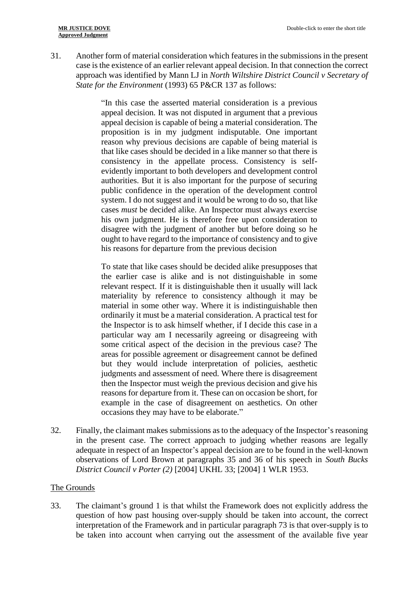31. Another form of material consideration which features in the submissions in the present case is the existence of an earlier relevant appeal decision. In that connection the correct approach was identified by Mann LJ in *North Wiltshire District Council v Secretary of State for the Environment* (1993) 65 P&CR 137 as follows:

> "In this case the asserted material consideration is a previous appeal decision. It was not disputed in argument that a previous appeal decision is capable of being a material consideration. The proposition is in my judgment indisputable. One important reason why previous decisions are capable of being material is that like cases should be decided in a like manner so that there is consistency in the appellate process. Consistency is selfevidently important to both developers and development control authorities. But it is also important for the purpose of securing public confidence in the operation of the development control system. I do not suggest and it would be wrong to do so, that like cases *must* be decided alike. An Inspector must always exercise his own judgment. He is therefore free upon consideration to disagree with the judgment of another but before doing so he ought to have regard to the importance of consistency and to give his reasons for departure from the previous decision

> To state that like cases should be decided alike presupposes that the earlier case is alike and is not distinguishable in some relevant respect. If it is distinguishable then it usually will lack materiality by reference to consistency although it may be material in some other way. Where it is indistinguishable then ordinarily it must be a material consideration. A practical test for the Inspector is to ask himself whether, if I decide this case in a particular way am I necessarily agreeing or disagreeing with some critical aspect of the decision in the previous case? The areas for possible agreement or disagreement cannot be defined but they would include interpretation of policies, aesthetic judgments and assessment of need. Where there is disagreement then the Inspector must weigh the previous decision and give his reasons for departure from it. These can on occasion be short, for example in the case of disagreement on aesthetics. On other occasions they may have to be elaborate."

32. Finally, the claimant makes submissions as to the adequacy of the Inspector's reasoning in the present case. The correct approach to judging whether reasons are legally adequate in respect of an Inspector's appeal decision are to be found in the well-known observations of Lord Brown at paragraphs 35 and 36 of his speech in *South Bucks District Council v Porter (2)* [2004] UKHL 33; [2004] 1 WLR 1953.

#### The Grounds

33. The claimant's ground 1 is that whilst the Framework does not explicitly address the question of how past housing over-supply should be taken into account, the correct interpretation of the Framework and in particular paragraph 73 is that over-supply is to be taken into account when carrying out the assessment of the available five year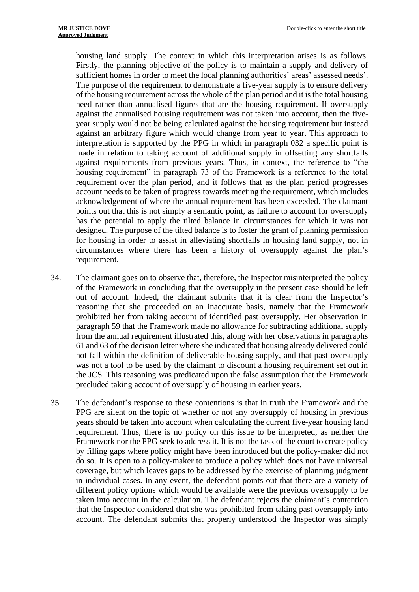housing land supply. The context in which this interpretation arises is as follows. Firstly, the planning objective of the policy is to maintain a supply and delivery of sufficient homes in order to meet the local planning authorities' areas' assessed needs'. The purpose of the requirement to demonstrate a five-year supply is to ensure delivery of the housing requirement across the whole of the plan period and it is the total housing need rather than annualised figures that are the housing requirement. If oversupply against the annualised housing requirement was not taken into account, then the fiveyear supply would not be being calculated against the housing requirement but instead against an arbitrary figure which would change from year to year. This approach to interpretation is supported by the PPG in which in paragraph 032 a specific point is made in relation to taking account of additional supply in offsetting any shortfalls against requirements from previous years. Thus, in context, the reference to "the housing requirement" in paragraph 73 of the Framework is a reference to the total requirement over the plan period, and it follows that as the plan period progresses account needs to be taken of progress towards meeting the requirement, which includes acknowledgement of where the annual requirement has been exceeded. The claimant points out that this is not simply a semantic point, as failure to account for oversupply has the potential to apply the tilted balance in circumstances for which it was not designed. The purpose of the tilted balance is to foster the grant of planning permission for housing in order to assist in alleviating shortfalls in housing land supply, not in circumstances where there has been a history of oversupply against the plan's requirement.

- 34. The claimant goes on to observe that, therefore, the Inspector misinterpreted the policy of the Framework in concluding that the oversupply in the present case should be left out of account. Indeed, the claimant submits that it is clear from the Inspector's reasoning that she proceeded on an inaccurate basis, namely that the Framework prohibited her from taking account of identified past oversupply. Her observation in paragraph 59 that the Framework made no allowance for subtracting additional supply from the annual requirement illustrated this, along with her observations in paragraphs 61 and 63 of the decision letter where she indicated that housing already delivered could not fall within the definition of deliverable housing supply, and that past oversupply was not a tool to be used by the claimant to discount a housing requirement set out in the JCS. This reasoning was predicated upon the false assumption that the Framework precluded taking account of oversupply of housing in earlier years.
- 35. The defendant's response to these contentions is that in truth the Framework and the PPG are silent on the topic of whether or not any oversupply of housing in previous years should be taken into account when calculating the current five-year housing land requirement. Thus, there is no policy on this issue to be interpreted, as neither the Framework nor the PPG seek to address it. It is not the task of the court to create policy by filling gaps where policy might have been introduced but the policy-maker did not do so. It is open to a policy-maker to produce a policy which does not have universal coverage, but which leaves gaps to be addressed by the exercise of planning judgment in individual cases. In any event, the defendant points out that there are a variety of different policy options which would be available were the previous oversupply to be taken into account in the calculation. The defendant rejects the claimant's contention that the Inspector considered that she was prohibited from taking past oversupply into account. The defendant submits that properly understood the Inspector was simply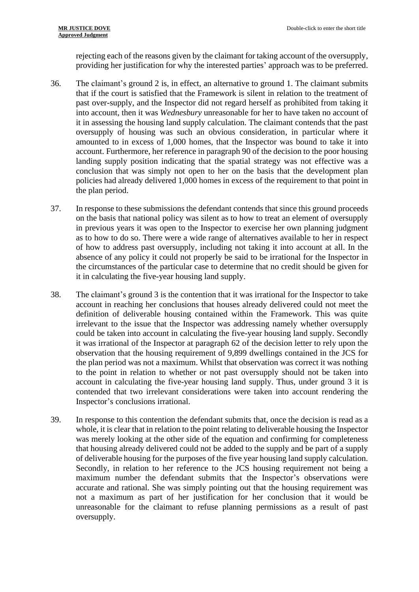rejecting each of the reasons given by the claimant for taking account of the oversupply, providing her justification for why the interested parties' approach was to be preferred.

- 36. The claimant's ground 2 is, in effect, an alternative to ground 1. The claimant submits that if the court is satisfied that the Framework is silent in relation to the treatment of past over-supply, and the Inspector did not regard herself as prohibited from taking it into account, then it was *Wednesbury* unreasonable for her to have taken no account of it in assessing the housing land supply calculation. The claimant contends that the past oversupply of housing was such an obvious consideration, in particular where it amounted to in excess of 1,000 homes, that the Inspector was bound to take it into account. Furthermore, her reference in paragraph 90 of the decision to the poor housing landing supply position indicating that the spatial strategy was not effective was a conclusion that was simply not open to her on the basis that the development plan policies had already delivered 1,000 homes in excess of the requirement to that point in the plan period.
- 37. In response to these submissions the defendant contends that since this ground proceeds on the basis that national policy was silent as to how to treat an element of oversupply in previous years it was open to the Inspector to exercise her own planning judgment as to how to do so. There were a wide range of alternatives available to her in respect of how to address past oversupply, including not taking it into account at all. In the absence of any policy it could not properly be said to be irrational for the Inspector in the circumstances of the particular case to determine that no credit should be given for it in calculating the five-year housing land supply.
- 38. The claimant's ground 3 is the contention that it was irrational for the Inspector to take account in reaching her conclusions that houses already delivered could not meet the definition of deliverable housing contained within the Framework. This was quite irrelevant to the issue that the Inspector was addressing namely whether oversupply could be taken into account in calculating the five-year housing land supply. Secondly it was irrational of the Inspector at paragraph 62 of the decision letter to rely upon the observation that the housing requirement of 9,899 dwellings contained in the JCS for the plan period was not a maximum. Whilst that observation was correct it was nothing to the point in relation to whether or not past oversupply should not be taken into account in calculating the five-year housing land supply. Thus, under ground 3 it is contended that two irrelevant considerations were taken into account rendering the Inspector's conclusions irrational.
- 39. In response to this contention the defendant submits that, once the decision is read as a whole, it is clear that in relation to the point relating to deliverable housing the Inspector was merely looking at the other side of the equation and confirming for completeness that housing already delivered could not be added to the supply and be part of a supply of deliverable housing for the purposes of the five year housing land supply calculation. Secondly, in relation to her reference to the JCS housing requirement not being a maximum number the defendant submits that the Inspector's observations were accurate and rational. She was simply pointing out that the housing requirement was not a maximum as part of her justification for her conclusion that it would be unreasonable for the claimant to refuse planning permissions as a result of past oversupply.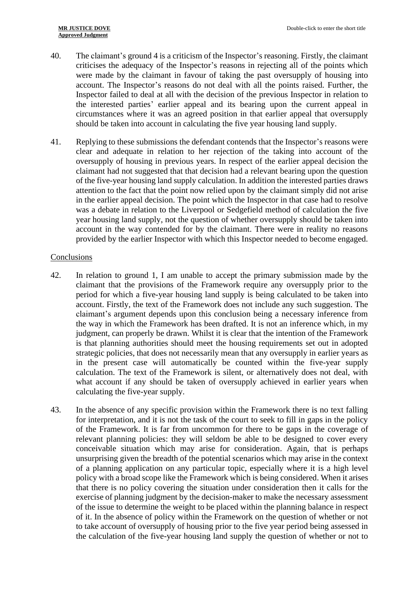- 40. The claimant's ground 4 is a criticism of the Inspector's reasoning. Firstly, the claimant criticises the adequacy of the Inspector's reasons in rejecting all of the points which were made by the claimant in favour of taking the past oversupply of housing into account. The Inspector's reasons do not deal with all the points raised. Further, the Inspector failed to deal at all with the decision of the previous Inspector in relation to the interested parties' earlier appeal and its bearing upon the current appeal in circumstances where it was an agreed position in that earlier appeal that oversupply should be taken into account in calculating the five year housing land supply.
- 41. Replying to these submissions the defendant contends that the Inspector's reasons were clear and adequate in relation to her rejection of the taking into account of the oversupply of housing in previous years. In respect of the earlier appeal decision the claimant had not suggested that that decision had a relevant bearing upon the question of the five-year housing land supply calculation. In addition the interested parties draws attention to the fact that the point now relied upon by the claimant simply did not arise in the earlier appeal decision. The point which the Inspector in that case had to resolve was a debate in relation to the Liverpool or Sedgefield method of calculation the five year housing land supply, not the question of whether oversupply should be taken into account in the way contended for by the claimant. There were in reality no reasons provided by the earlier Inspector with which this Inspector needed to become engaged.

## Conclusions

- 42. In relation to ground 1, I am unable to accept the primary submission made by the claimant that the provisions of the Framework require any oversupply prior to the period for which a five-year housing land supply is being calculated to be taken into account. Firstly, the text of the Framework does not include any such suggestion. The claimant's argument depends upon this conclusion being a necessary inference from the way in which the Framework has been drafted. It is not an inference which, in my judgment, can properly be drawn. Whilst it is clear that the intention of the Framework is that planning authorities should meet the housing requirements set out in adopted strategic policies, that does not necessarily mean that any oversupply in earlier years as in the present case will automatically be counted within the five-year supply calculation. The text of the Framework is silent, or alternatively does not deal, with what account if any should be taken of oversupply achieved in earlier years when calculating the five-year supply.
- 43. In the absence of any specific provision within the Framework there is no text falling for interpretation, and it is not the task of the court to seek to fill in gaps in the policy of the Framework. It is far from uncommon for there to be gaps in the coverage of relevant planning policies: they will seldom be able to be designed to cover every conceivable situation which may arise for consideration. Again, that is perhaps unsurprising given the breadth of the potential scenarios which may arise in the context of a planning application on any particular topic, especially where it is a high level policy with a broad scope like the Framework which is being considered. When it arises that there is no policy covering the situation under consideration then it calls for the exercise of planning judgment by the decision-maker to make the necessary assessment of the issue to determine the weight to be placed within the planning balance in respect of it. In the absence of policy within the Framework on the question of whether or not to take account of oversupply of housing prior to the five year period being assessed in the calculation of the five-year housing land supply the question of whether or not to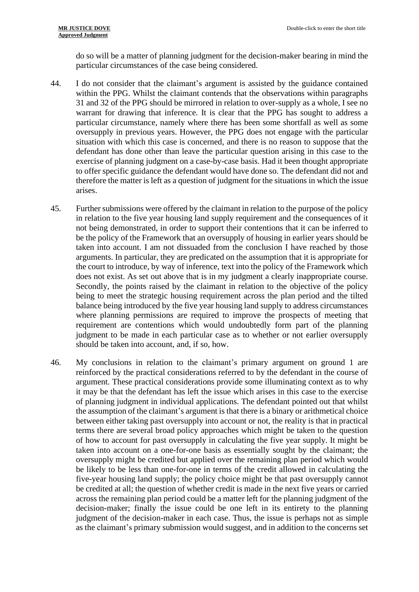do so will be a matter of planning judgment for the decision-maker bearing in mind the particular circumstances of the case being considered.

- 44. I do not consider that the claimant's argument is assisted by the guidance contained within the PPG. Whilst the claimant contends that the observations within paragraphs 31 and 32 of the PPG should be mirrored in relation to over-supply as a whole, I see no warrant for drawing that inference. It is clear that the PPG has sought to address a particular circumstance, namely where there has been some shortfall as well as some oversupply in previous years. However, the PPG does not engage with the particular situation with which this case is concerned, and there is no reason to suppose that the defendant has done other than leave the particular question arising in this case to the exercise of planning judgment on a case-by-case basis. Had it been thought appropriate to offer specific guidance the defendant would have done so. The defendant did not and therefore the matter is left as a question of judgment for the situations in which the issue arises.
- 45. Further submissions were offered by the claimant in relation to the purpose of the policy in relation to the five year housing land supply requirement and the consequences of it not being demonstrated, in order to support their contentions that it can be inferred to be the policy of the Framework that an oversupply of housing in earlier years should be taken into account. I am not dissuaded from the conclusion I have reached by those arguments. In particular, they are predicated on the assumption that it is appropriate for the court to introduce, by way of inference, text into the policy of the Framework which does not exist. As set out above that is in my judgment a clearly inappropriate course. Secondly, the points raised by the claimant in relation to the objective of the policy being to meet the strategic housing requirement across the plan period and the tilted balance being introduced by the five year housing land supply to address circumstances where planning permissions are required to improve the prospects of meeting that requirement are contentions which would undoubtedly form part of the planning judgment to be made in each particular case as to whether or not earlier oversupply should be taken into account, and, if so, how.
- 46. My conclusions in relation to the claimant's primary argument on ground 1 are reinforced by the practical considerations referred to by the defendant in the course of argument. These practical considerations provide some illuminating context as to why it may be that the defendant has left the issue which arises in this case to the exercise of planning judgment in individual applications. The defendant pointed out that whilst the assumption of the claimant's argument is that there is a binary or arithmetical choice between either taking past oversupply into account or not, the reality is that in practical terms there are several broad policy approaches which might be taken to the question of how to account for past oversupply in calculating the five year supply. It might be taken into account on a one-for-one basis as essentially sought by the claimant; the oversupply might be credited but applied over the remaining plan period which would be likely to be less than one-for-one in terms of the credit allowed in calculating the five-year housing land supply; the policy choice might be that past oversupply cannot be credited at all; the question of whether credit is made in the next five years or carried across the remaining plan period could be a matter left for the planning judgment of the decision-maker; finally the issue could be one left in its entirety to the planning judgment of the decision-maker in each case. Thus, the issue is perhaps not as simple as the claimant's primary submission would suggest, and in addition to the concerns set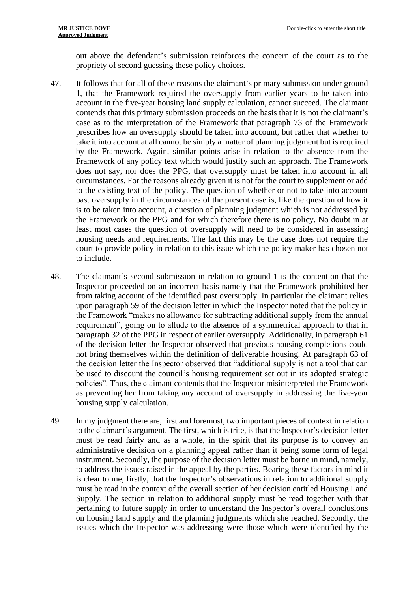out above the defendant's submission reinforces the concern of the court as to the propriety of second guessing these policy choices.

- 47. It follows that for all of these reasons the claimant's primary submission under ground 1, that the Framework required the oversupply from earlier years to be taken into account in the five-year housing land supply calculation, cannot succeed. The claimant contends that this primary submission proceeds on the basis that it is not the claimant's case as to the interpretation of the Framework that paragraph 73 of the Framework prescribes how an oversupply should be taken into account, but rather that whether to take it into account at all cannot be simply a matter of planning judgment but is required by the Framework. Again, similar points arise in relation to the absence from the Framework of any policy text which would justify such an approach. The Framework does not say, nor does the PPG, that oversupply must be taken into account in all circumstances. For the reasons already given it is not for the court to supplement or add to the existing text of the policy. The question of whether or not to take into account past oversupply in the circumstances of the present case is, like the question of how it is to be taken into account, a question of planning judgment which is not addressed by the Framework or the PPG and for which therefore there is no policy. No doubt in at least most cases the question of oversupply will need to be considered in assessing housing needs and requirements. The fact this may be the case does not require the court to provide policy in relation to this issue which the policy maker has chosen not to include.
- 48. The claimant's second submission in relation to ground 1 is the contention that the Inspector proceeded on an incorrect basis namely that the Framework prohibited her from taking account of the identified past oversupply. In particular the claimant relies upon paragraph 59 of the decision letter in which the Inspector noted that the policy in the Framework "makes no allowance for subtracting additional supply from the annual requirement", going on to allude to the absence of a symmetrical approach to that in paragraph 32 of the PPG in respect of earlier oversupply. Additionally, in paragraph 61 of the decision letter the Inspector observed that previous housing completions could not bring themselves within the definition of deliverable housing. At paragraph 63 of the decision letter the Inspector observed that "additional supply is not a tool that can be used to discount the council's housing requirement set out in its adopted strategic policies". Thus, the claimant contends that the Inspector misinterpreted the Framework as preventing her from taking any account of oversupply in addressing the five-year housing supply calculation.
- 49. In my judgment there are, first and foremost, two important pieces of context in relation to the claimant's argument. The first, which is trite, is that the Inspector's decision letter must be read fairly and as a whole, in the spirit that its purpose is to convey an administrative decision on a planning appeal rather than it being some form of legal instrument. Secondly, the purpose of the decision letter must be borne in mind, namely, to address the issues raised in the appeal by the parties. Bearing these factors in mind it is clear to me, firstly, that the Inspector's observations in relation to additional supply must be read in the context of the overall section of her decision entitled Housing Land Supply. The section in relation to additional supply must be read together with that pertaining to future supply in order to understand the Inspector's overall conclusions on housing land supply and the planning judgments which she reached. Secondly, the issues which the Inspector was addressing were those which were identified by the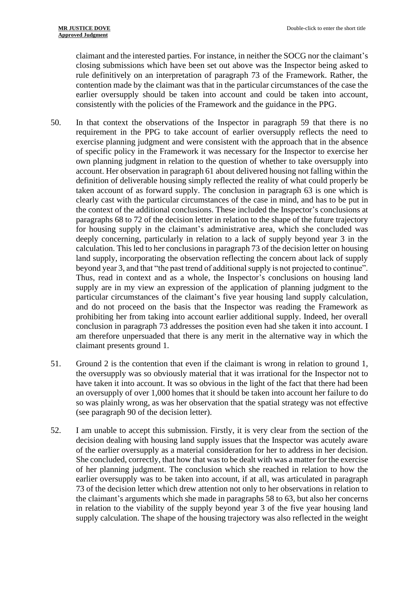claimant and the interested parties. For instance, in neither the SOCG nor the claimant's closing submissions which have been set out above was the Inspector being asked to rule definitively on an interpretation of paragraph 73 of the Framework. Rather, the contention made by the claimant was that in the particular circumstances of the case the earlier oversupply should be taken into account and could be taken into account, consistently with the policies of the Framework and the guidance in the PPG.

- 50. In that context the observations of the Inspector in paragraph 59 that there is no requirement in the PPG to take account of earlier oversupply reflects the need to exercise planning judgment and were consistent with the approach that in the absence of specific policy in the Framework it was necessary for the Inspector to exercise her own planning judgment in relation to the question of whether to take oversupply into account. Her observation in paragraph 61 about delivered housing not falling within the definition of deliverable housing simply reflected the reality of what could properly be taken account of as forward supply. The conclusion in paragraph 63 is one which is clearly cast with the particular circumstances of the case in mind, and has to be put in the context of the additional conclusions. These included the Inspector's conclusions at paragraphs 68 to 72 of the decision letter in relation to the shape of the future trajectory for housing supply in the claimant's administrative area, which she concluded was deeply concerning, particularly in relation to a lack of supply beyond year 3 in the calculation. This led to her conclusions in paragraph 73 of the decision letter on housing land supply, incorporating the observation reflecting the concern about lack of supply beyond year 3, and that "the past trend of additional supply is not projected to continue". Thus, read in context and as a whole, the Inspector's conclusions on housing land supply are in my view an expression of the application of planning judgment to the particular circumstances of the claimant's five year housing land supply calculation, and do not proceed on the basis that the Inspector was reading the Framework as prohibiting her from taking into account earlier additional supply. Indeed, her overall conclusion in paragraph 73 addresses the position even had she taken it into account. I am therefore unpersuaded that there is any merit in the alternative way in which the claimant presents ground 1.
- 51. Ground 2 is the contention that even if the claimant is wrong in relation to ground 1, the oversupply was so obviously material that it was irrational for the Inspector not to have taken it into account. It was so obvious in the light of the fact that there had been an oversupply of over 1,000 homes that it should be taken into account her failure to do so was plainly wrong, as was her observation that the spatial strategy was not effective (see paragraph 90 of the decision letter).
- 52. I am unable to accept this submission. Firstly, it is very clear from the section of the decision dealing with housing land supply issues that the Inspector was acutely aware of the earlier oversupply as a material consideration for her to address in her decision. She concluded, correctly, that how that was to be dealt with was a matter for the exercise of her planning judgment. The conclusion which she reached in relation to how the earlier oversupply was to be taken into account, if at all, was articulated in paragraph 73 of the decision letter which drew attention not only to her observations in relation to the claimant's arguments which she made in paragraphs 58 to 63, but also her concerns in relation to the viability of the supply beyond year 3 of the five year housing land supply calculation. The shape of the housing trajectory was also reflected in the weight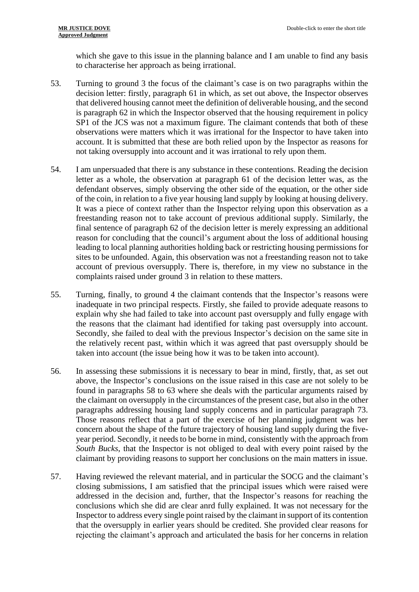which she gave to this issue in the planning balance and I am unable to find any basis to characterise her approach as being irrational.

- 53. Turning to ground 3 the focus of the claimant's case is on two paragraphs within the decision letter: firstly, paragraph 61 in which, as set out above, the Inspector observes that delivered housing cannot meet the definition of deliverable housing, and the second is paragraph 62 in which the Inspector observed that the housing requirement in policy SP1 of the JCS was not a maximum figure. The claimant contends that both of these observations were matters which it was irrational for the Inspector to have taken into account. It is submitted that these are both relied upon by the Inspector as reasons for not taking oversupply into account and it was irrational to rely upon them.
- 54. I am unpersuaded that there is any substance in these contentions. Reading the decision letter as a whole, the observation at paragraph 61 of the decision letter was, as the defendant observes, simply observing the other side of the equation, or the other side of the coin, in relation to a five year housing land supply by looking at housing delivery. It was a piece of context rather than the Inspector relying upon this observation as a freestanding reason not to take account of previous additional supply. Similarly, the final sentence of paragraph 62 of the decision letter is merely expressing an additional reason for concluding that the council's argument about the loss of additional housing leading to local planning authorities holding back or restricting housing permissions for sites to be unfounded. Again, this observation was not a freestanding reason not to take account of previous oversupply. There is, therefore, in my view no substance in the complaints raised under ground 3 in relation to these matters.
- 55. Turning, finally, to ground 4 the claimant contends that the Inspector's reasons were inadequate in two principal respects. Firstly, she failed to provide adequate reasons to explain why she had failed to take into account past oversupply and fully engage with the reasons that the claimant had identified for taking past oversupply into account. Secondly, she failed to deal with the previous Inspector's decision on the same site in the relatively recent past, within which it was agreed that past oversupply should be taken into account (the issue being how it was to be taken into account).
- 56. In assessing these submissions it is necessary to bear in mind, firstly, that, as set out above, the Inspector's conclusions on the issue raised in this case are not solely to be found in paragraphs 58 to 63 where she deals with the particular arguments raised by the claimant on oversupply in the circumstances of the present case, but also in the other paragraphs addressing housing land supply concerns and in particular paragraph 73. Those reasons reflect that a part of the exercise of her planning judgment was her concern about the shape of the future trajectory of housing land supply during the fiveyear period. Secondly, it needs to be borne in mind, consistently with the approach from *South Bucks*, that the Inspector is not obliged to deal with every point raised by the claimant by providing reasons to support her conclusions on the main matters in issue.
- 57. Having reviewed the relevant material, and in particular the SOCG and the claimant's closing submissions, I am satisfied that the principal issues which were raised were addressed in the decision and, further, that the Inspector's reasons for reaching the conclusions which she did are clear anrd fully explained. It was not necessary for the Inspector to address every single point raised by the claimant in support of its contention that the oversupply in earlier years should be credited. She provided clear reasons for rejecting the claimant's approach and articulated the basis for her concerns in relation